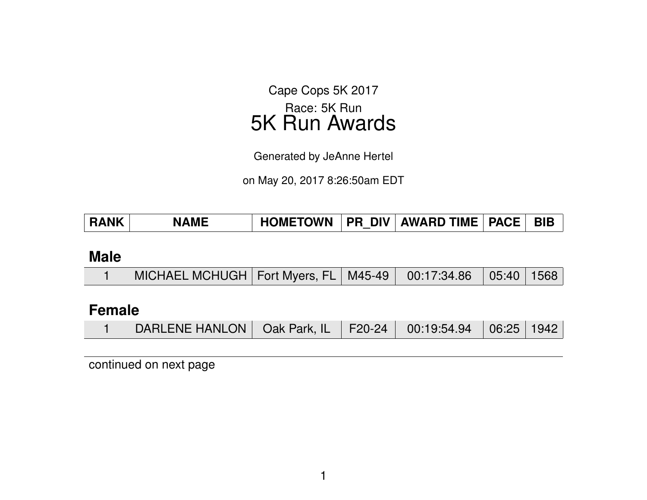Cape Cops 5K 2017 Race: 5K Run 5K Run Awards

Generated by JeAnne Hertel

on May 20, 2017 8:26:50am EDT

| <b>RANK</b> | <b>NAME</b> | HOMETOWN   PR_DIV   AWARD TIME   PACE   BIB_ |  |  |  |  |
|-------------|-------------|----------------------------------------------|--|--|--|--|
|-------------|-------------|----------------------------------------------|--|--|--|--|

#### **Male**

|  | MICHAEL MCHUGH   Fort Myers, FL   M45-49   00:17:34.86   05:40   1568 |  |  |  |  |  |
|--|-----------------------------------------------------------------------|--|--|--|--|--|
|--|-----------------------------------------------------------------------|--|--|--|--|--|

#### **Female**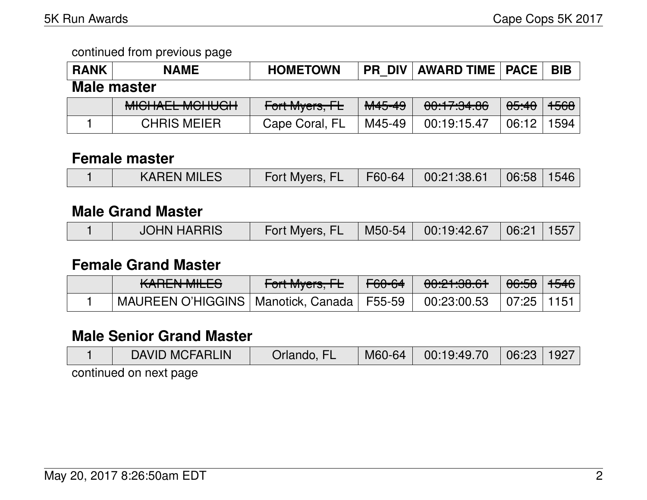| <b>RANK</b>        | <b>NAME</b>                                 | <b>HOMETOWN</b> | <b>PR DIV</b>     | <b>AWARD TIME   PACE</b> |                  | <b>BIB</b> |  |  |
|--------------------|---------------------------------------------|-----------------|-------------------|--------------------------|------------------|------------|--|--|
| <b>Male master</b> |                                             |                 |                   |                          |                  |            |  |  |
|                    | MIQUALI MOUROU<br><del>MIUHALL MUHUUH</del> | Fort Myers, FL  | <del>M45-49</del> | 00:17:34.86              | <del>05:40</del> | 1568       |  |  |
|                    | <b>CHRIS MEIER</b>                          | Cape Coral, FL  | M45-49            | 00:19:15.47              | 06:12            | 1594       |  |  |

#### **Female master**

#### **Male Grand Master**

|  | <b>JOHN HARRIS</b> | Fort Myers, FL |  | M50-54   00:19:42.67   06:21   1557 |  |  |
|--|--------------------|----------------|--|-------------------------------------|--|--|
|--|--------------------|----------------|--|-------------------------------------|--|--|

#### **Female Grand Master**

| $I$ $\Lambda$ $D$ $\Gamma$ $\Lambda$ $I$ $I$ $I$ $II$ $\Gamma$ $C$<br><b>NANLIV MILLO</b> | $\Gamma_{\alpha}$ <sup>+</sup> M <sub>uare</sub> $\Gamma$<br>TUITIVIYUIS, ITL | F60-64 | 0.01.00.01<br>0.001   | <del>06:58</del> ∣ <del>1546</del> |  |
|-------------------------------------------------------------------------------------------|-------------------------------------------------------------------------------|--------|-----------------------|------------------------------------|--|
| MAUREEN O'HIGGINS   Manotick, Canada   F55-59                                             |                                                                               |        | $00:23:00.53$ $07:25$ |                                    |  |

## **Male Senior Grand Master**

| <b>DAVID MCFARLIN</b>  | Orlando, FL | M60-64 | 00:19:49.70 | 06:23   1927 |  |  |  |  |  |
|------------------------|-------------|--------|-------------|--------------|--|--|--|--|--|
| continuad on pout pons |             |        |             |              |  |  |  |  |  |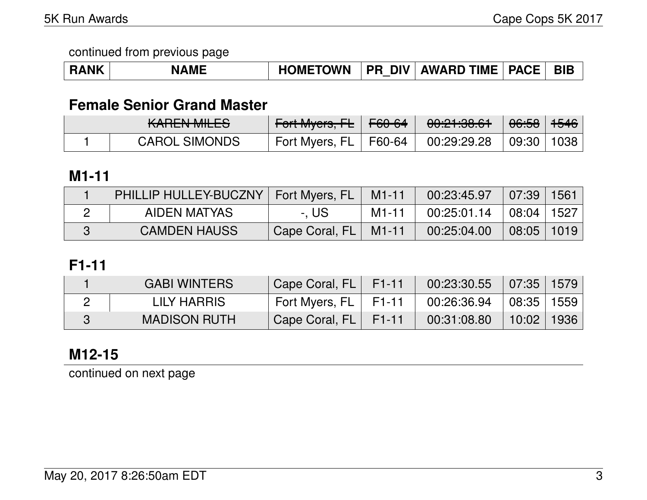|  | <b>NAME</b> | <b>HOMETOWN</b> |  | <b>PR DIV AWARD TIME PACE</b> |  | <b>BIB</b> |
|--|-------------|-----------------|--|-------------------------------|--|------------|
|--|-------------|-----------------|--|-------------------------------|--|------------|

### **Female Senior Grand Master**

| $V$ $\Lambda$ $D$ $F$ $N$ $I$ $M$ $I$ $F$ $C$ $N$<br><b>NATION MILLO</b> | Fort Myers, $\mathsf{FE}$   F60-64                   | <del>00:21:38.61</del> | <del>06:58</del>   <del>1546</del> |  |
|--------------------------------------------------------------------------|------------------------------------------------------|------------------------|------------------------------------|--|
| <b>CAROL SIMONDS</b>                                                     | Fort Myers, FL   F60-64   00:29:29.28   09:30   1038 |                        |                                    |  |

#### **M1-11**

| PHILLIP HULLEY-BUCZNY   Fort Myers, FL   M1-11 |                      |         |                                                        |                     | 1561 |
|------------------------------------------------|----------------------|---------|--------------------------------------------------------|---------------------|------|
| AIDEN MATYAS                                   | -. US                | M1-11 l | $\frac{1}{2}$ 00:25:01.14 $\pm$ 08:04 $\pm$ 1527 $\pm$ |                     |      |
| <b>CAMDEN HAUSS</b>                            | Cape Coral, FL M1-11 |         | 00:25:04.00                                            | $\mid$ 08:05   1019 |      |

## **F1-11**

| <b>GABI WINTERS</b> | Cape Coral, FL F1-11   |       | $00:23:30.55$ 07:35 1579     |            |  |
|---------------------|------------------------|-------|------------------------------|------------|--|
| LILY HARRIS         | Fort Myers, FL   F1-11 |       | $00:26:36.94$   08:35   1559 |            |  |
| <b>MADISON RUTH</b> | Cape Coral, FL         | F1-11 | 00:31:08.80                  | 10:02 1936 |  |

## **M12-15**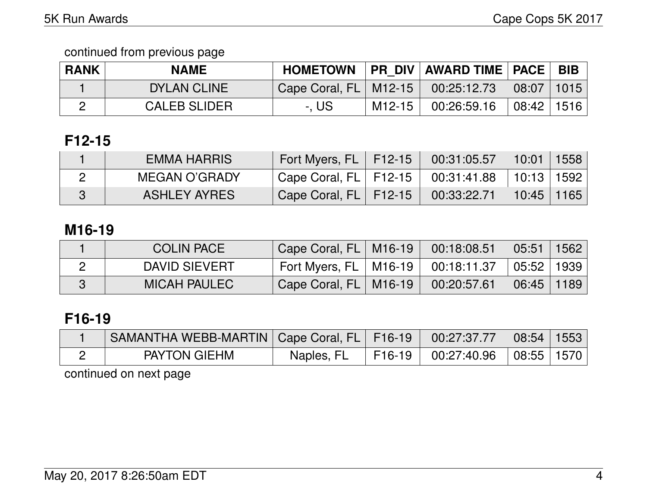| <b>RANK</b> | <b>NAME</b>         | <b>HOMETOWN</b>           |          | PR DIV   AWARD TIME   PACE                                                              | <b>BIB</b> |
|-------------|---------------------|---------------------------|----------|-----------------------------------------------------------------------------------------|------------|
|             | <b>DYLAN CLINE</b>  | Cape Coral, $FL$   M12-15 |          | $\begin{array}{ c c c c c c c c } \hline 00:25:12.73 & 08:07 & 1015 \hline \end{array}$ |            |
|             | <b>CALEB SLIDER</b> | -. US                     | $M12-15$ | $00:26:59.16$ $\mid$ $08:42$ $\mid$ 1516 $\mid$                                         |            |

## **F12-15**

| EMMA HARRIS   | Fort Myers, FL   F12-15 N                            | $00:31:05.57$   10:01   1558 |            |  |
|---------------|------------------------------------------------------|------------------------------|------------|--|
| MEGAN O'GRADY | Cape Coral, FL   F12-15   00:31:41.88   10:13   1592 |                              |            |  |
| ASHLEY AYRES  | Cape Coral, $FL$   F12-15                            | 00:33:22.71                  | 10:45 1165 |  |

#### **M16-19**

| <b>COLIN PACE</b>   | Cape Coral, FL   M16-19                              | 00:18:08.51 | $\mid$ 05:51 $\mid$ 1562 $\mid$ |  |
|---------------------|------------------------------------------------------|-------------|---------------------------------|--|
| DAVID SIEVERT       | Fort Myers, FL   M16-19   00:18:11.37   05:52   1939 |             |                                 |  |
| <b>MICAH PAULEC</b> | Cape Coral, FL   M16-19                              | 00:20:57.61 | $06:45$   1189                  |  |

# **F16-19**

| SAMANTHA WEBB-MARTIN   Cape Coral, FL   F16-19   00:27:37.77   08:54   1553 |            |                                                                  |  |
|-----------------------------------------------------------------------------|------------|------------------------------------------------------------------|--|
| <b>PAYTON GIEHM</b>                                                         | Naples, FL | $\mid$ F16-19 $\mid$ 00:27:40.96 $\mid$ 08:55 $\mid$ 1570 $\mid$ |  |
|                                                                             |            |                                                                  |  |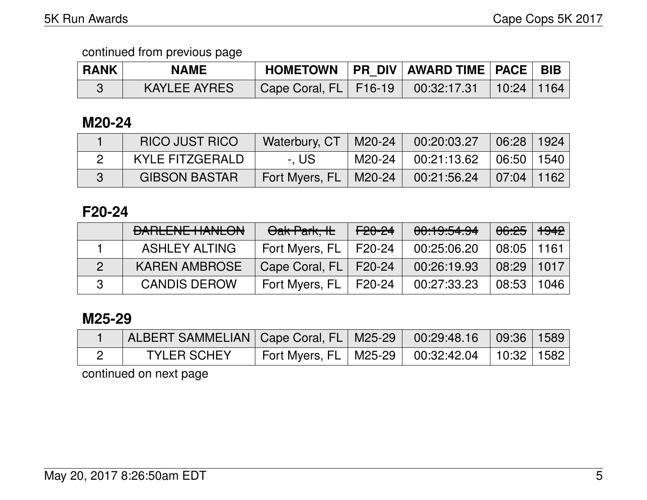| <b>RANK</b> | <b>NAME</b>  |                                                      | HOMETOWN   PR DIV   AWARD TIME   PACE   BIB |  |
|-------------|--------------|------------------------------------------------------|---------------------------------------------|--|
|             | KAYLEE AYRES | Cape Coral, FL   F16-19   00:32:17.31   10:24   1164 |                                             |  |

#### **M20-24**

| <b>RICO JUST RICO</b> | Waterbury, CT   M20-24  |          | 00:20:03.27                | $\mid$ 06:28   1924 |  |
|-----------------------|-------------------------|----------|----------------------------|---------------------|--|
| KYLE FITZGERALD       | -. US                   | M20-24 L | $00:21:13.62$ $06:50$ 1540 |                     |  |
| <b>GIBSON BASTAR</b>  | Fort Myers, FL   M20-24 |          | $00:21:56.24$ 07:04 1162   |                     |  |

### **F20-24**

|          | <b>BARLENE HANLON</b> | Oak Park, IL              | <del>F20-24</del> | 00:19:54.94 | <del>06:25</del>   <del>1942</del> |      |
|----------|-----------------------|---------------------------|-------------------|-------------|------------------------------------|------|
|          | <b>ASHLEY ALTING</b>  | Fort Myers, $FL$   F20-24 |                   | 00:25:06.20 | $08:05$   1161                     |      |
|          | <b>KAREN AMBROSE</b>  | Cape Coral, FL   F20-24   |                   | 00:26:19.93 | $\mid$ 08:29 $\mid$ 1017 $\mid$    |      |
| <b>P</b> | <b>CANDIS DEROW</b>   | Fort Myers, $FL$   F20-24 |                   | 00:27:33.23 | 08:53                              | 1046 |

### **M25-29**

| ALBERT SAMMELIAN   Cape Coral, FL   M25-29   00:29:48.16   09:36   1589 |                                                      |  |  |
|-------------------------------------------------------------------------|------------------------------------------------------|--|--|
| <b>TYLER SCHEY</b>                                                      | Fort Myers, FL   M25-29   00:32:42.04   10:32   1582 |  |  |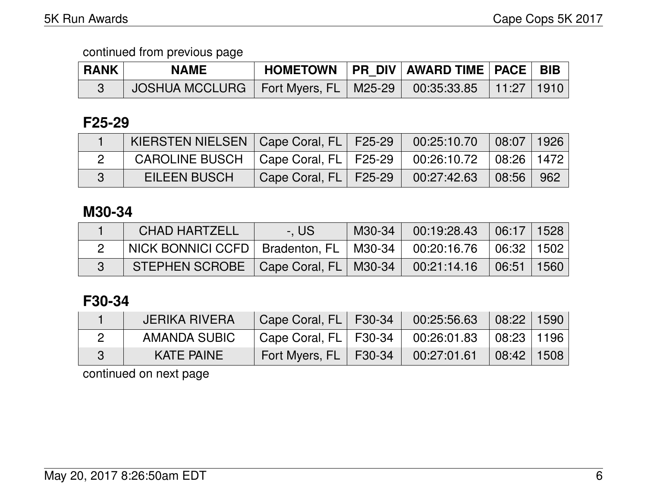| <b>RANK</b> | <b>NAME</b> |  | HOMETOWN   PR DIV   AWARD TIME   PACE   BIB |  |
|-------------|-------------|--|---------------------------------------------|--|
|             |             |  |                                             |  |

## **F25-29**

| KIERSTEN NIELSEN   Cape Coral, FL   F25-29   00:25:10.70   08:07   1926 |                                                     |  |  |
|-------------------------------------------------------------------------|-----------------------------------------------------|--|--|
| CAROLINE BUSCH   Cape Coral, FL   F25-29   00:26:10.72   08:26   1472   |                                                     |  |  |
| <b>EILEEN BUSCH</b>                                                     | Cape Coral, FL   F25-29   00:27:42.63   08:56   962 |  |  |

## **M30-34**

| <b>CHAD HARTZELL</b>                                                     | -. US | $M30-34$ | 00:19:28.43 | $\mid$ 06:17 $\mid$ 1528 $\mid$ |  |
|--------------------------------------------------------------------------|-------|----------|-------------|---------------------------------|--|
| NICK BONNICI CCFD   Bradenton, FL   M30-34   00:20:16.76   06:32   1502  |       |          |             |                                 |  |
| STEPHEN SCROBE $\vert$ Cape Coral, FL $\vert$ M30-34 $\vert$ 00:21:14.16 |       |          |             | │ 06:51 │ 1560 │                |  |

# **F30-34**

| JERIKA RIVERA     | Cape Coral, FL   F30-34               | 00:25:56.63 | $\mid$ 08:22 $\mid$ 1590 $\mid$ |  |
|-------------------|---------------------------------------|-------------|---------------------------------|--|
| AMANDA SUBIC      | Cape Coral, FL   F30-34   00:26:01.83 |             | $\mid$ 08:23 $\mid$ 1196 $\mid$ |  |
| <b>KATE PAINE</b> | Fort Myers, $FL$   F30-34             | 00:27:01.61 | $\mid$ 08:42 $\mid$ 1508 $\mid$ |  |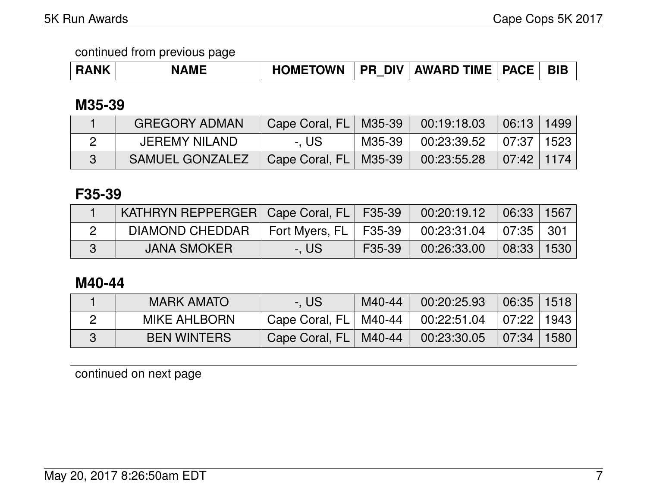| <b>RANK</b> | <b>NAME</b> | <b>HOMETOWN</b> | <b>PR DIV</b> | AWARD TIME   PACE |  | BIB |
|-------------|-------------|-----------------|---------------|-------------------|--|-----|
|-------------|-------------|-----------------|---------------|-------------------|--|-----|

### **M35-39**

| <b>GREGORY ADMAN</b> | Cape Coral, FL   M35-39 | $00:19:18.03$ 06:13 1499            |  |
|----------------------|-------------------------|-------------------------------------|--|
| JEREMY NILAND        | -. US                   | M35-39   00:23:39.52   07:37   1523 |  |
| SAMUEL GONZALEZ      | Cape Coral, FL   M35-39 | $00:23:55.28$ 07:42 1174            |  |

### **F35-39**

| KATHRYN REPPERGER   Cape Coral, FL   F35-39 |                         |        | 00:20:19.12                 | $\mid$ 06:33   1567 |  |
|---------------------------------------------|-------------------------|--------|-----------------------------|---------------------|--|
| DIAMOND CHEDDAR                             | Fort Myers, FL   F35-39 |        | $00:23:31.04$   07:35   301 |                     |  |
| <b>JANA SMOKER</b>                          | -, US                   | F35-39 | 00:26:33.00                 | 08:33 1530          |  |

#### **M40-44**

| <b>MARK AMATO</b>   | -. US                     | M40-44 | 00:20:25.93                                            | 06:35 1518 |  |
|---------------------|---------------------------|--------|--------------------------------------------------------|------------|--|
| <b>MIKE AHLBORN</b> | Cape Coral, $FL$   M40-44 |        | $\vert$ 00:22:51.04 $\vert$ 07:22 $\vert$ 1943 $\vert$ |            |  |
| <b>BEN WINTERS</b>  | Cape Coral, FL   M40-44   |        | 00:23:30.05                                            | 07:34 1580 |  |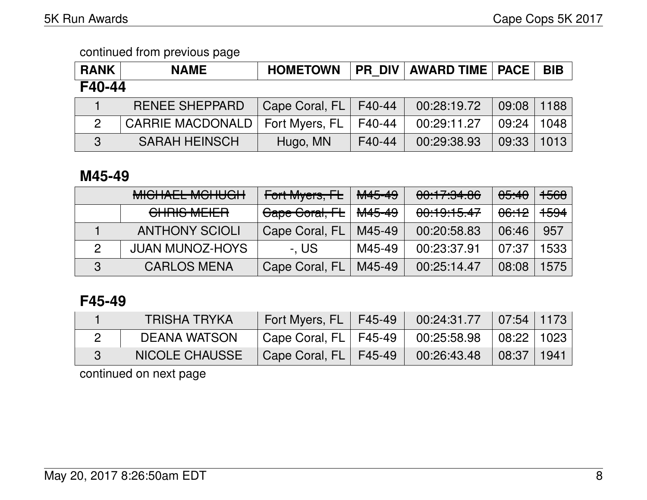| <b>RANK</b> | <b>NAME</b>             | <b>HOMETOWN</b> |        | <b>PR DIV AWARD TIME   PACE  </b> |       | <b>BIB</b> |  |  |  |
|-------------|-------------------------|-----------------|--------|-----------------------------------|-------|------------|--|--|--|
| F40-44      |                         |                 |        |                                   |       |            |  |  |  |
|             | <b>RENEE SHEPPARD</b>   | Cape Coral, FL  | F40-44 | 00:28:19.72                       | 09:08 | 1188       |  |  |  |
| 2           | <b>CARRIE MACDONALD</b> | Fort Myers, FL  | F40-44 | 00:29:11.27                       | 09:24 | 1048       |  |  |  |
| 3           | <b>SARAH HEINSCH</b>    | Hugo, MN        | F40-44 | 00:29:38.93                       | 09:33 | 1013       |  |  |  |

### **M45-49**

|   | MIQUALI MOUROU<br><b>MIULIALL MUITUUIT</b>           | Fort Myers, FL | <del>M45-49</del> | 00:17:34.86 | <del>05:40</del> | <del>1568</del> |
|---|------------------------------------------------------|----------------|-------------------|-------------|------------------|-----------------|
|   | $\bigcap_{n=1}^{\infty}$<br><u>UTILIUO IVILILITT</u> | Cape Coral, FL | <del>M45-49</del> | 00:19:15.47 | <del>06:12</del> | <del>1594</del> |
|   | <b>ANTHONY SCIOLI</b>                                | Cape Coral, FL | M45-49            | 00:20:58.83 | 06:46            | 957             |
|   | <b>JUAN MUNOZ-HOYS</b>                               | -. US          | M45-49            | 00:23:37.91 | 07:37            | 1533            |
| 3 | <b>CARLOS MENA</b>                                   | Cape Coral, FL | M45-49            | 00:25:14.47 | 08:08            | 1575            |

### **F45-49**

| TRISHA TRYKA          | Fort Myers, FL   F45-49                   | $00:24:31.77$ 07:54 1173                      |              |  |
|-----------------------|-------------------------------------------|-----------------------------------------------|--------------|--|
| DEANA WATSON          | $\,$ Cape Coral, FL $\,$ F45-49 $\,$ $\,$ | $00:25:58.98$ $\mid$ 08:22 $\mid$ 1023 $\mid$ |              |  |
| <b>NICOLE CHAUSSE</b> | Cape Coral, FL   F45-49                   | 00:26:43.48                                   | 08:37   1941 |  |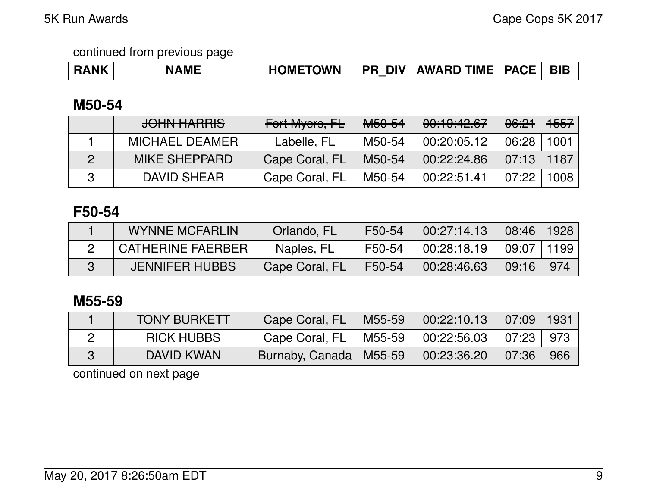| <b>RANK</b> | <b>NAME</b> | <b>HOMETOWN</b> |  | <b>PR DIV AWARD TIME PACE</b> |  | <b>BIB</b> |
|-------------|-------------|-----------------|--|-------------------------------|--|------------|
|-------------|-------------|-----------------|--|-------------------------------|--|------------|

## **M50-54**

| <b>JOHN HARRIS</b> | Fort Myers, FL | <del>M50-54</del> | 00:19:42.67 | <del>06:21</del> | <del>1557</del> |
|--------------------|----------------|-------------------|-------------|------------------|-----------------|
| MICHAEL DEAMER     | Labelle, FL    | M50-54            | 00:20:05.12 | 06:28            | 1001            |
| MIKE SHEPPARD      | Cape Coral, FL | M50-54            | 00:22:24.86 | 07:13            | 1187            |
| DAVID SHEAR        | Cape Coral, FL | M50-54            | 00:22:51.41 | 07:22            | 1008            |

### **F50-54**

| <b>WYNNE MCFARLIN</b>    | <b>Orlando, FL</b> | F50-54 | 00:27:14.13 | $\mid$ 08:46 $\mid$ 1928 $\mid$ |     |
|--------------------------|--------------------|--------|-------------|---------------------------------|-----|
| <b>CATHERINE FAERBER</b> | Naples, FL         | F50-54 | 00:28:18.19 | ∣ 09:07 ∣ 1199 ∣                |     |
| <b>JENNIFER HUBBS</b>    | Cape Coral, FL     | F50-54 | 00:28:46.63 | 09:16                           | 974 |

### **M55-59**

| <b>TONY BURKETT</b> | Cape Coral, FL           | M55-59 | $\mid$ 00:22:10.13 $\mid$ 07:09 $\mid$ 1931 $\mid$ |                |     |
|---------------------|--------------------------|--------|----------------------------------------------------|----------------|-----|
| <b>RICK HUBBS</b>   | Cape Coral, FL           |        | M55-59   00:22:56.03   07:23   973                 |                |     |
| DAVID KWAN          | Burnaby, Canada   M55-59 |        | 00:23:36.20                                        | $\sqrt{07:36}$ | 966 |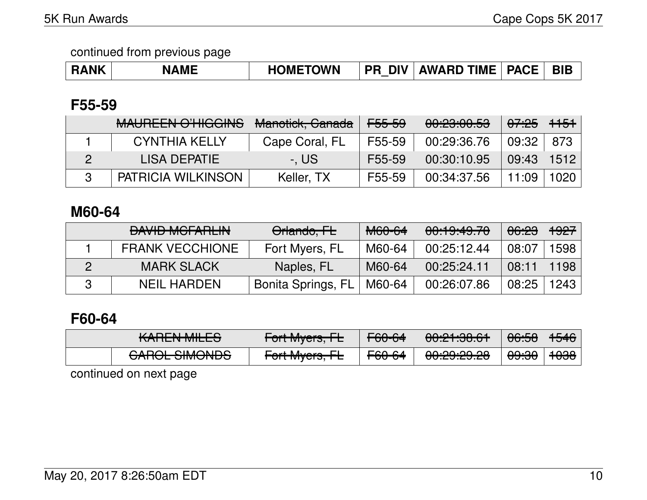| <b>RANK</b> | <b>NAME</b> | <b>HOMETOWN</b> | <b>DIV</b><br><b>PR</b> | <b>AWARD TIME</b> | <b>PACE</b> | <b>BIE</b> |
|-------------|-------------|-----------------|-------------------------|-------------------|-------------|------------|
|             |             |                 |                         |                   |             |            |

### **F55-59**

| <b>MAUREEN O'HIGGINS</b> | <del>Manotick, Canada</del> | <del>F55-59</del>   | 00:23:00.53 | <del>07:25</del>   <del>1151</del> |      |
|--------------------------|-----------------------------|---------------------|-------------|------------------------------------|------|
| <b>CYNTHIA KELLY</b>     | Cape Coral, FL              | F55-59              | 00:29:36.76 | 09:32                              | 873  |
| <b>LISA DEPATIE</b>      | -. US                       | F <sub>55</sub> -59 | 00:30:10.95 | $09:43$   1512                     |      |
| PATRICIA WILKINSON       | Keller, TX                  | F55-59              | 00:34:37.56 | 11:09                              | 1020 |

### **M60-64**

| <b>DAVID MOFADLINE</b><br><b>DAVID MULATION</b> | Orlando, FL        | M60-64 | 00:19:49.70 | <del>06:23</del> | <del>1927</del> |
|-------------------------------------------------|--------------------|--------|-------------|------------------|-----------------|
| <b>FRANK VECCHIONE</b>                          | Fort Myers, FL     | M60-64 | 00:25:12.44 | 08:07            | 1598            |
| <b>MARK SLACK</b>                               | Naples, FL         | M60-64 | 00:25:24.11 | 08:11            | 1198            |
| <b>NEIL HARDEN</b>                              | Bonita Springs, FL | M60-64 | 00:26:07.86 | 08:25            | 1243            |

## **F60-64**

| $V$ ADENI MILEO<br>IVALILIA MILLO | $\Gamma_{\alpha}$ <sup>+</sup> M <sub>u</sub> $\alpha$ <sup>*</sup><br>$T$ UITIVIYCI $3, T$            | ECDCA<br>$T\sigma\sigma\sigma$       | 0.01.00.01<br><del>uu.ch.uu k</del> | AC.CO<br>00.00  | <del>1546</del> |
|-----------------------------------|--------------------------------------------------------------------------------------------------------|--------------------------------------|-------------------------------------|-----------------|-----------------|
| $OMOM$ $OMOMOR$                   | $\Gamma$ <sub>A</sub> $\mu$ M <sub>1</sub> $\mu$ <sub>A</sub> $\mu$ <sub>A</sub> $\Gamma$ <sub>I</sub> | $\Gamma$ $\Omega$ $\Omega$ $\Lambda$ | ൶൶൶൶                                | <u>എ.എ</u>      | مصمد            |
| <del>ONIUL JIMUNUJ</del>          | TUTTWIYU 5, TE                                                                                         | <del>rov-or</del>                    | <del>uu.cu.cu.cu</del>              | ᠊ <del>ಀಀ</del> | τυσσ            |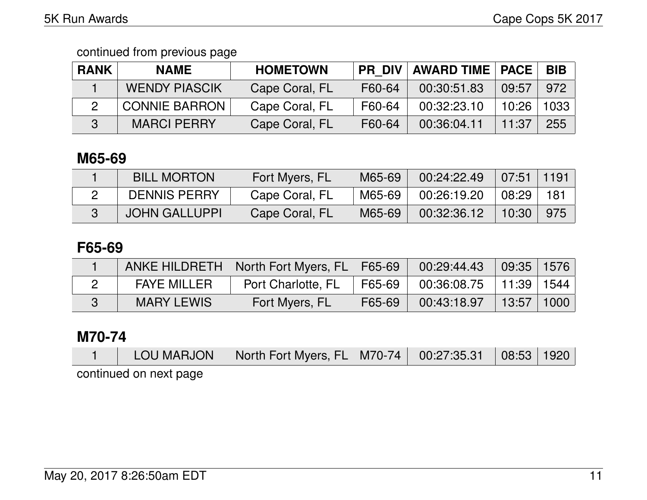| <b>RANK</b> | <b>NAME</b>          | <b>HOMETOWN</b> | <b>PR DIV</b> | <b>AWARD TIME   PACE  </b> |       | <b>BIB</b> |
|-------------|----------------------|-----------------|---------------|----------------------------|-------|------------|
|             | <b>WENDY PIASCIK</b> | Cape Coral, FL  | F60-64        | 00:30:51.83                | 09:57 | 972        |
|             | <b>CONNIE BARRON</b> | Cape Coral, FL  | F60-64        | 00:32:23.10                | 10:26 | 1033       |
|             | <b>MARCI PERRY</b>   | Cape Coral, FL  | F60-64        | 00:36:04.11                | 11:37 | 255        |

## **M65-69**

| <b>BILL MORTON</b>   | Fort Myers, FL | M65-69 | 00:24:22.49 | $07:51$   1191 |     |
|----------------------|----------------|--------|-------------|----------------|-----|
| <b>DENNIS PERRY</b>  | Cape Coral, FL | M65-69 | 00:26:19.20 | 08:29          | 181 |
| <b>JOHN GALLUPPI</b> | Cape Coral, FL | M65-69 | 00:32:36.12 | 10:30          | 975 |

### **F65-69**

|                    | ANKE HILDRETH   North Fort Myers, FL   F65-69 |        | 00:29:44.43                  | $\mid$ 09:35 $\mid$ 1576 $\mid$ |  |
|--------------------|-----------------------------------------------|--------|------------------------------|---------------------------------|--|
| <b>FAYE MILLER</b> | Port Charlotte, FL                            | F65-69 | $00:36:08.75$   11:39   1544 |                                 |  |
| <b>MARY LEWIS</b>  | Fort Myers, FL                                | F65-69 | 00:43:18.97                  | $13:57$   1000                  |  |

#### **M70-74**

|                         | LOU MARJON   North Fort Myers, FL   M70-74   00:27:35.31   08:53   1920 |  |  |
|-------------------------|-------------------------------------------------------------------------|--|--|
| ensat tren no heiminino |                                                                         |  |  |